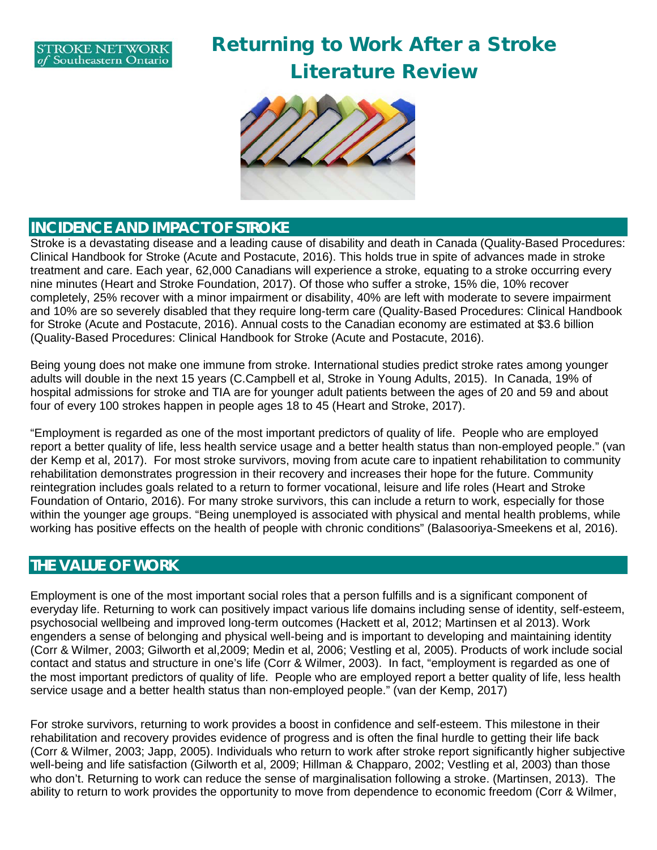

**N**

# Returning to Work After a Stroke Literature Review



#### **INCIDENCE AND IMPACT OF STROKE**

Stroke is a devastating disease and a leading cause of disability and death in Canada (Quality-Based Procedures: Clinical Handbook for Stroke (Acute and Postacute, 2016). This holds true in spite of advances made in stroke treatment and care. Each year, 62,000 Canadians will experience a stroke, equating to a stroke occurring every nine minutes (Heart and Stroke Foundation, 2017). Of those who suffer a stroke, 15% die, 10% recover completely, 25% recover with a minor impairment or disability, 40% are left with moderate to severe impairment and 10% are so severely disabled that they require long-term care (Quality-Based Procedures: Clinical Handbook for Stroke (Acute and Postacute, 2016). Annual costs to the Canadian economy are estimated at \$3.6 billion (Quality-Based Procedures: Clinical Handbook for Stroke (Acute and Postacute, 2016).

Being young does not make one immune from stroke. International studies predict stroke rates among younger adults will double in the next 15 years (C.Campbell et al, Stroke in Young Adults, 2015). In Canada, 19% of hospital admissions for stroke and TIA are for younger adult patients between the ages of 20 and 59 and about four of every 100 strokes happen in people ages 18 to 45 (Heart and Stroke, 2017).

"Employment is regarded as one of the most important predictors of quality of life. People who are employed report a better quality of life, less health service usage and a better health status than non-employed people." (van der Kemp et al, 2017). For most stroke survivors, moving from acute care to inpatient rehabilitation to community rehabilitation demonstrates progression in their recovery and increases their hope for the future. Community reintegration includes goals related to a return to former vocational, leisure and life roles (Heart and Stroke Foundation of Ontario, 2016). For many stroke survivors, this can include a return to work, especially for those within the younger age groups. "Being unemployed is associated with physical and mental health problems, while working has positive effects on the health of people with chronic conditions" (Balasooriya-Smeekens et al, 2016).

#### **THE VALUE OF WORK**

Employment is one of the most important social roles that a person fulfills and is a significant component of everyday life. Returning to work can positively impact various life domains including sense of identity, self-esteem, psychosocial wellbeing and improved long-term outcomes (Hackett et al, 2012; Martinsen et al 2013). Work engenders a sense of belonging and physical well-being and is important to developing and maintaining identity (Corr & Wilmer, 2003; Gilworth et al,2009; Medin et al, 2006; Vestling et al, 2005). Products of work include social contact and status and structure in one's life (Corr & Wilmer, 2003). In fact, "employment is regarded as one of the most important predictors of quality of life. People who are employed report a better quality of life, less health service usage and a better health status than non-employed people." (van der Kemp, 2017)

For stroke survivors, returning to work provides a boost in confidence and self-esteem. This milestone in their rehabilitation and recovery provides evidence of progress and is often the final hurdle to getting their life back (Corr & Wilmer, 2003; Japp, 2005). Individuals who return to work after stroke report significantly higher subjective well-being and life satisfaction (Gilworth et al, 2009; Hillman & Chapparo, 2002; Vestling et al, 2003) than those who don't. Returning to work can reduce the sense of marginalisation following a stroke. (Martinsen, 2013). The ability to return to work provides the opportunity to move from dependence to economic freedom (Corr & Wilmer,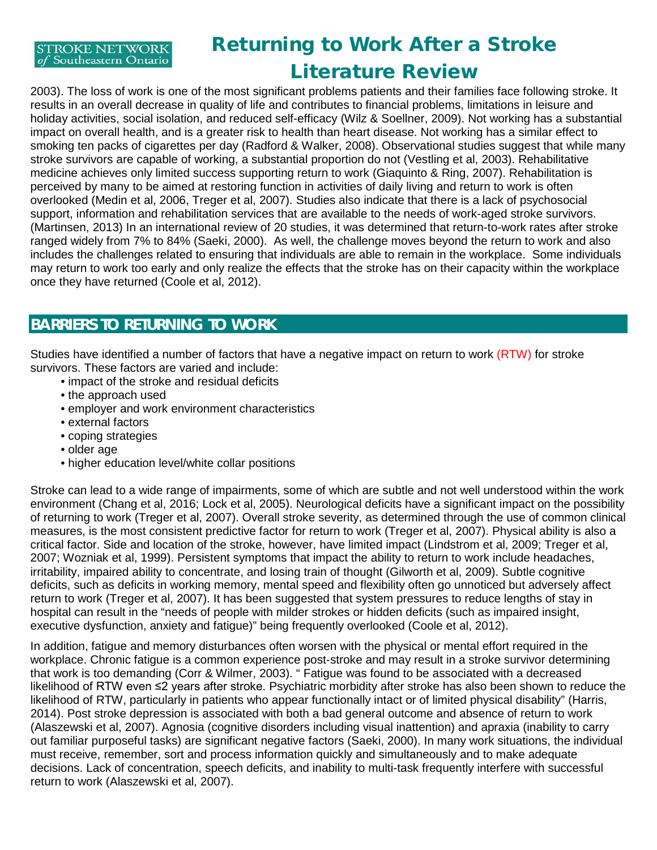

### Returning to Work After a Stroke Literature Review

2003). The loss of work is one of the most significant problems patients and their families face following stroke. It results in an overall decrease in quality of life and contributes to financial problems, limitations in leisure and holiday activities, social isolation, and reduced self-efficacy (Wilz & Soellner, 2009). Not working has a substantial impact on overall health, and is a greater risk to health than heart disease. Not working has a similar effect to smoking ten packs of cigarettes per day (Radford & Walker, 2008). Observational studies suggest that while many stroke survivors are capable of working, a substantial proportion do not (Vestling et al, 2003). Rehabilitative medicine achieves only limited success supporting return to work (Giaquinto & Ring, 2007). Rehabilitation is perceived by many to be aimed at restoring function in activities of daily living and return to work is often overlooked (Medin et al, 2006, Treger et al, 2007). Studies also indicate that there is a lack of psychosocial support, information and rehabilitation services that are available to the needs of work-aged stroke survivors. (Martinsen, 2013) In an international review of 20 studies, it was determined that return-to-work rates after stroke ranged widely from 7% to 84% (Saeki, 2000). As well, the challenge moves beyond the return to work and also includes the challenges related to ensuring that individuals are able to remain in the workplace. Some individuals may return to work too early and only realize the effects that the stroke has on their capacity within the workplace once they have returned (Coole et al, 2012).

### **BARRIERS TO RETURNING TO WORK**

Studies have identified a number of factors that have a negative impact on return to work (RTW) for stroke survivors. These factors are varied and include:

- impact of the stroke and residual deficits
- the approach used
- employer and work environment characteristics
- external factors
- coping strategies
- older age
- higher education level/white collar positions

Stroke can lead to a wide range of impairments, some of which are subtle and not well understood within the work environment (Chang et al, 2016; Lock et al, 2005). Neurological deficits have a significant impact on the possibility of returning to work (Treger et al, 2007). Overall stroke severity, as determined through the use of common clinical measures, is the most consistent predictive factor for return to work (Treger et al, 2007). Physical ability is also a critical factor. Side and location of the stroke, however, have limited impact (Lindstrom et al, 2009; Treger et al, 2007; Wozniak et al, 1999). Persistent symptoms that impact the ability to return to work include headaches, irritability, impaired ability to concentrate, and losing train of thought (Gilworth et al, 2009). Subtle cognitive deficits, such as deficits in working memory, mental speed and flexibility often go unnoticed but adversely affect return to work (Treger et al, 2007). It has been suggested that system pressures to reduce lengths of stay in hospital can result in the "needs of people with milder strokes or hidden deficits (such as impaired insight, executive dysfunction, anxiety and fatigue)" being frequently overlooked (Coole et al, 2012).

In addition, fatigue and memory disturbances often worsen with the physical or mental effort required in the workplace. Chronic fatigue is a common experience post-stroke and may result in a stroke survivor determining that work is too demanding (Corr & Wilmer, 2003). " Fatigue was found to be associated with a decreased likelihood of RTW even ≤2 years after stroke. Psychiatric morbidity after stroke has also been shown to reduce the likelihood of RTW, particularly in patients who appear functionally intact or of limited physical disability" (Harris, 2014). Post stroke depression is associated with both a bad general outcome and absence of return to work (Alaszewski et al, 2007). Agnosia (cognitive disorders including visual inattention) and apraxia (inability to carry out familiar purposeful tasks) are significant negative factors (Saeki, 2000). In many work situations, the individual must receive, remember, sort and process information quickly and simultaneously and to make adequate decisions. Lack of concentration, speech deficits, and inability to multi-task frequently interfere with successful return to work (Alaszewski et al, 2007).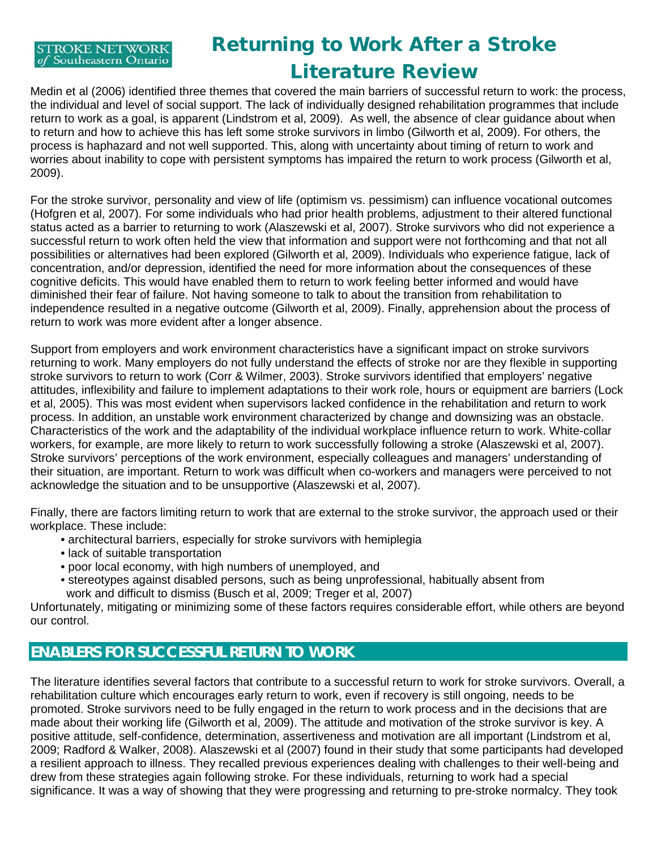# Returning to Work After a Stroke Literature Review

Medin et al (2006) identified three themes that covered the main barriers of successful return to work: the process, the individual and level of social support. The lack of individually designed rehabilitation programmes that include return to work as a goal, is apparent (Lindstrom et al, 2009). As well, the absence of clear guidance about when to return and how to achieve this has left some stroke survivors in limbo (Gilworth et al, 2009). For others, the process is haphazard and not well supported. This, along with uncertainty about timing of return to work and worries about inability to cope with persistent symptoms has impaired the return to work process (Gilworth et al, 2009).

For the stroke survivor, personality and view of life (optimism vs. pessimism) can influence vocational outcomes (Hofgren et al, 2007). For some individuals who had prior health problems, adjustment to their altered functional status acted as a barrier to returning to work (Alaszewski et al, 2007). Stroke survivors who did not experience a successful return to work often held the view that information and support were not forthcoming and that not all possibilities or alternatives had been explored (Gilworth et al, 2009). Individuals who experience fatigue, lack of concentration, and/or depression, identified the need for more information about the consequences of these cognitive deficits. This would have enabled them to return to work feeling better informed and would have diminished their fear of failure. Not having someone to talk to about the transition from rehabilitation to independence resulted in a negative outcome (Gilworth et al, 2009). Finally, apprehension about the process of return to work was more evident after a longer absence.

Support from employers and work environment characteristics have a significant impact on stroke survivors returning to work. Many employers do not fully understand the effects of stroke nor are they flexible in supporting stroke survivors to return to work (Corr & Wilmer, 2003). Stroke survivors identified that employers' negative attitudes, inflexibility and failure to implement adaptations to their work role, hours or equipment are barriers (Lock et al, 2005). This was most evident when supervisors lacked confidence in the rehabilitation and return to work process. In addition, an unstable work environment characterized by change and downsizing was an obstacle. Characteristics of the work and the adaptability of the individual workplace influence return to work. White-collar workers, for example, are more likely to return to work successfully following a stroke (Alaszewski et al, 2007). Stroke survivors' perceptions of the work environment, especially colleagues and managers' understanding of their situation, are important. Return to work was difficult when co-workers and managers were perceived to not acknowledge the situation and to be unsupportive (Alaszewski et al, 2007).

Finally, there are factors limiting return to work that are external to the stroke survivor, the approach used or their workplace. These include:

- architectural barriers, especially for stroke survivors with hemiplegia
- lack of suitable transportation
- poor local economy, with high numbers of unemployed, and
- stereotypes against disabled persons, such as being unprofessional, habitually absent from work and difficult to dismiss (Busch et al, 2009; Treger et al, 2007)

Unfortunately, mitigating or minimizing some of these factors requires considerable effort, while others are beyond our control.

### **ENABLERS FOR SUCCESSFUL RETURN TO WORK**

The literature identifies several factors that contribute to a successful return to work for stroke survivors. Overall, a rehabilitation culture which encourages early return to work, even if recovery is still ongoing, needs to be promoted. Stroke survivors need to be fully engaged in the return to work process and in the decisions that are made about their working life (Gilworth et al, 2009). The attitude and motivation of the stroke survivor is key. A positive attitude, self-confidence, determination, assertiveness and motivation are all important (Lindstrom et al, 2009; Radford & Walker, 2008). Alaszewski et al (2007) found in their study that some participants had developed a resilient approach to illness. They recalled previous experiences dealing with challenges to their well-being and drew from these strategies again following stroke. For these individuals, returning to work had a special significance. It was a way of showing that they were progressing and returning to pre-stroke normalcy. They took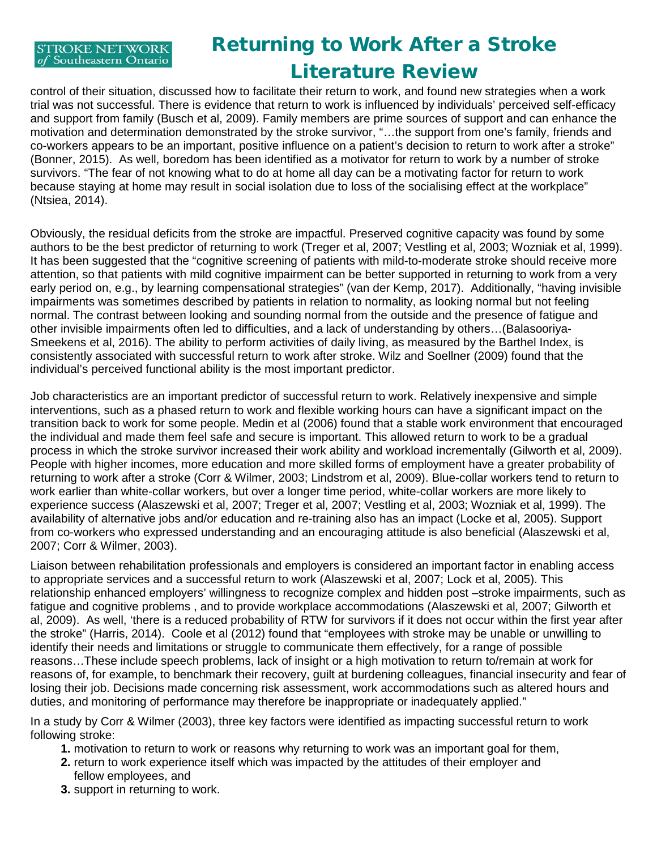# Returning to Work After a Stroke Literature Review

control of their situation, discussed how to facilitate their return to work, and found new strategies when a work trial was not successful. There is evidence that return to work is influenced by individuals' perceived self-efficacy and support from family (Busch et al, 2009). Family members are prime sources of support and can enhance the motivation and determination demonstrated by the stroke survivor, "…the support from one's family, friends and co-workers appears to be an important, positive influence on a patient's decision to return to work after a stroke" (Bonner, 2015). As well, boredom has been identified as a motivator for return to work by a number of stroke survivors. "The fear of not knowing what to do at home all day can be a motivating factor for return to work because staying at home may result in social isolation due to loss of the socialising effect at the workplace" (Ntsiea, 2014).

Obviously, the residual deficits from the stroke are impactful. Preserved cognitive capacity was found by some authors to be the best predictor of returning to work (Treger et al, 2007; Vestling et al, 2003; Wozniak et al, 1999). It has been suggested that the "cognitive screening of patients with mild-to-moderate stroke should receive more attention, so that patients with mild cognitive impairment can be better supported in returning to work from a very early period on, e.g., by learning compensational strategies" (van der Kemp, 2017). Additionally, "having invisible impairments was sometimes described by patients in relation to normality, as looking normal but not feeling normal. The contrast between looking and sounding normal from the outside and the presence of fatigue and other invisible impairments often led to difficulties, and a lack of understanding by others…(Balasooriya-Smeekens et al, 2016). The ability to perform activities of daily living, as measured by the Barthel Index, is consistently associated with successful return to work after stroke. Wilz and Soellner (2009) found that the individual's perceived functional ability is the most important predictor.

Job characteristics are an important predictor of successful return to work. Relatively inexpensive and simple interventions, such as a phased return to work and flexible working hours can have a significant impact on the transition back to work for some people. Medin et al (2006) found that a stable work environment that encouraged the individual and made them feel safe and secure is important. This allowed return to work to be a gradual process in which the stroke survivor increased their work ability and workload incrementally (Gilworth et al, 2009). People with higher incomes, more education and more skilled forms of employment have a greater probability of returning to work after a stroke (Corr & Wilmer, 2003; Lindstrom et al, 2009). Blue-collar workers tend to return to work earlier than white-collar workers, but over a longer time period, white-collar workers are more likely to experience success (Alaszewski et al, 2007; Treger et al, 2007; Vestling et al, 2003; Wozniak et al, 1999). The availability of alternative jobs and/or education and re-training also has an impact (Locke et al, 2005). Support from co-workers who expressed understanding and an encouraging attitude is also beneficial (Alaszewski et al, 2007; Corr & Wilmer, 2003).

Liaison between rehabilitation professionals and employers is considered an important factor in enabling access to appropriate services and a successful return to work (Alaszewski et al, 2007; Lock et al, 2005). This relationship enhanced employers' willingness to recognize complex and hidden post –stroke impairments, such as fatigue and cognitive problems , and to provide workplace accommodations (Alaszewski et al, 2007; Gilworth et al, 2009). As well, 'there is a reduced probability of RTW for survivors if it does not occur within the first year after the stroke" (Harris, 2014). Coole et al (2012) found that "employees with stroke may be unable or unwilling to identify their needs and limitations or struggle to communicate them effectively, for a range of possible reasons…These include speech problems, lack of insight or a high motivation to return to/remain at work for reasons of, for example, to benchmark their recovery, guilt at burdening colleagues, financial insecurity and fear of losing their job. Decisions made concerning risk assessment, work accommodations such as altered hours and duties, and monitoring of performance may therefore be inappropriate or inadequately applied."

In a study by Corr & Wilmer (2003), three key factors were identified as impacting successful return to work following stroke:

- **1.** motivation to return to work or reasons why returning to work was an important goal for them,
- **2.** return to work experience itself which was impacted by the attitudes of their employer and fellow employees, and
- **3.** support in returning to work.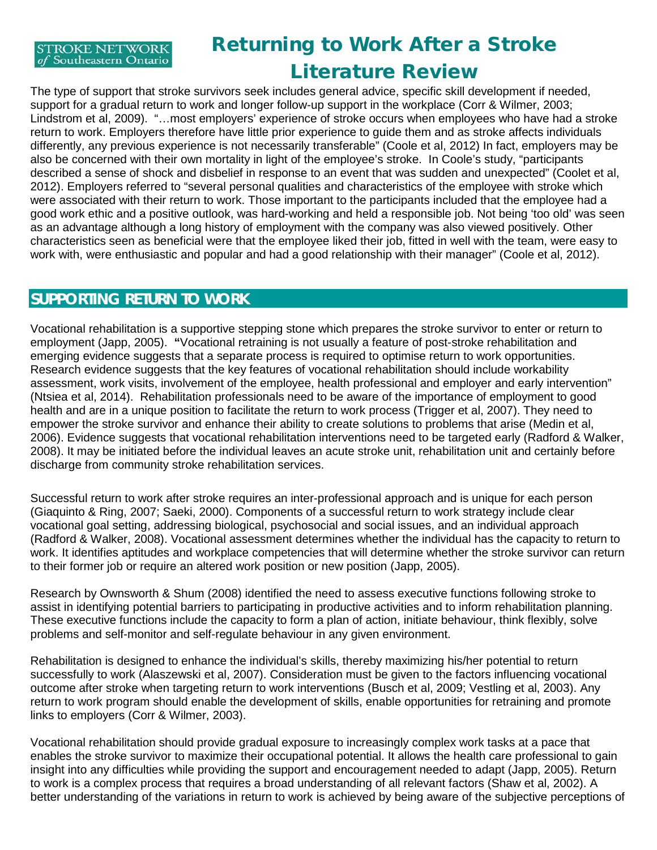## Returning to Work After a Stroke Literature Review

The type of support that stroke survivors seek includes general advice, specific skill development if needed, support for a gradual return to work and longer follow-up support in the workplace (Corr & Wilmer, 2003; Lindstrom et al, 2009). "…most employers' experience of stroke occurs when employees who have had a stroke return to work. Employers therefore have little prior experience to guide them and as stroke affects individuals differently, any previous experience is not necessarily transferable" (Coole et al, 2012) In fact, employers may be also be concerned with their own mortality in light of the employee's stroke. In Coole's study, "participants described a sense of shock and disbelief in response to an event that was sudden and unexpected" (Coolet et al, 2012). Employers referred to "several personal qualities and characteristics of the employee with stroke which were associated with their return to work. Those important to the participants included that the employee had a good work ethic and a positive outlook, was hard-working and held a responsible job. Not being 'too old' was seen as an advantage although a long history of employment with the company was also viewed positively. Other characteristics seen as beneficial were that the employee liked their job, fitted in well with the team, were easy to work with, were enthusiastic and popular and had a good relationship with their manager" (Coole et al, 2012).

### **SUPPORTING RETURN TO WORK**

Vocational rehabilitation is a supportive stepping stone which prepares the stroke survivor to enter or return to employment (Japp, 2005). **"**Vocational retraining is not usually a feature of post-stroke rehabilitation and emerging evidence suggests that a separate process is required to optimise return to work opportunities. Research evidence suggests that the key features of vocational rehabilitation should include workability assessment, work visits, involvement of the employee, health professional and employer and early intervention" (Ntsiea et al, 2014).Rehabilitation professionals need to be aware of the importance of employment to good health and are in a unique position to facilitate the return to work process (Trigger et al, 2007). They need to empower the stroke survivor and enhance their ability to create solutions to problems that arise (Medin et al, 2006). Evidence suggests that vocational rehabilitation interventions need to be targeted early (Radford & Walker, 2008). It may be initiated before the individual leaves an acute stroke unit, rehabilitation unit and certainly before discharge from community stroke rehabilitation services.

Successful return to work after stroke requires an inter-professional approach and is unique for each person (Giaquinto & Ring, 2007; Saeki, 2000). Components of a successful return to work strategy include clear vocational goal setting, addressing biological, psychosocial and social issues, and an individual approach (Radford & Walker, 2008). Vocational assessment determines whether the individual has the capacity to return to work. It identifies aptitudes and workplace competencies that will determine whether the stroke survivor can return to their former job or require an altered work position or new position (Japp, 2005).

Research by Ownsworth & Shum (2008) identified the need to assess executive functions following stroke to assist in identifying potential barriers to participating in productive activities and to inform rehabilitation planning. These executive functions include the capacity to form a plan of action, initiate behaviour, think flexibly, solve problems and self-monitor and self-regulate behaviour in any given environment.

Rehabilitation is designed to enhance the individual's skills, thereby maximizing his/her potential to return successfully to work (Alaszewski et al, 2007). Consideration must be given to the factors influencing vocational outcome after stroke when targeting return to work interventions (Busch et al, 2009; Vestling et al, 2003). Any return to work program should enable the development of skills, enable opportunities for retraining and promote links to employers (Corr & Wilmer, 2003).

Vocational rehabilitation should provide gradual exposure to increasingly complex work tasks at a pace that enables the stroke survivor to maximize their occupational potential. It allows the health care professional to gain insight into any difficulties while providing the support and encouragement needed to adapt (Japp, 2005). Return to work is a complex process that requires a broad understanding of all relevant factors (Shaw et al, 2002). A better understanding of the variations in return to work is achieved by being aware of the subjective perceptions of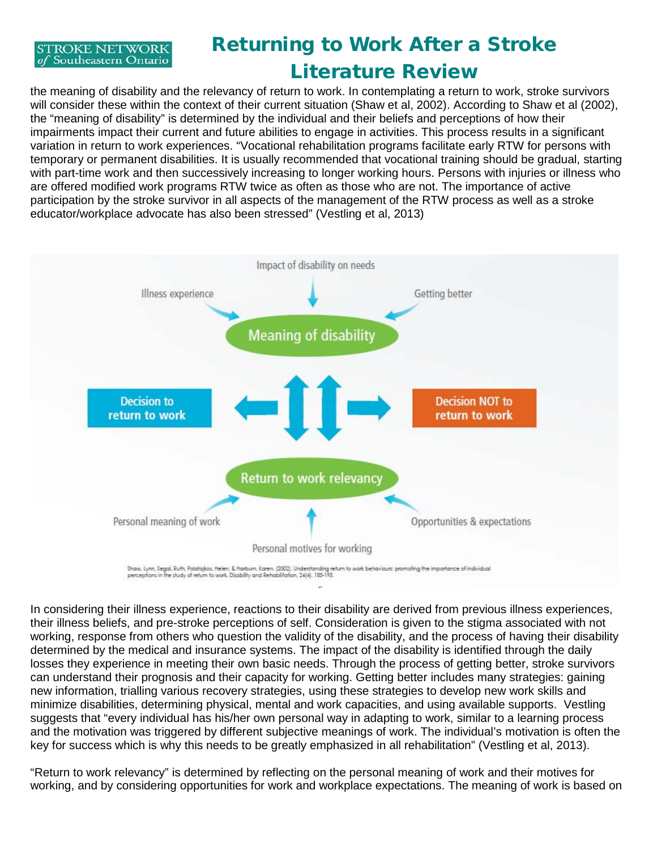# Returning to Work After a Stroke Literature Review

the meaning of disability and the relevancy of return to work. In contemplating a return to work, stroke survivors will consider these within the context of their current situation (Shaw et al, 2002). According to Shaw et al (2002), the "meaning of disability" is determined by the individual and their beliefs and perceptions of how their impairments impact their current and future abilities to engage in activities. This process results in a significant variation in return to work experiences. "Vocational rehabilitation programs facilitate early RTW for persons with temporary or permanent disabilities. It is usually recommended that vocational training should be gradual, starting with part-time work and then successively increasing to longer working hours. Persons with injuries or illness who are offered modified work programs RTW twice as often as those who are not. The importance of active participation by the stroke survivor in all aspects of the management of the RTW process as well as a stroke educator/workplace advocate has also been stressed" (Vestling et al, 2013)



In considering their illness experience, reactions to their disability are derived from previous illness experiences, their illness beliefs, and pre-stroke perceptions of self. Consideration is given to the stigma associated with not working, response from others who question the validity of the disability, and the process of having their disability determined by the medical and insurance systems. The impact of the disability is identified through the daily losses they experience in meeting their own basic needs. Through the process of getting better, stroke survivors can understand their prognosis and their capacity for working. Getting better includes many strategies: gaining new information, trialling various recovery strategies, using these strategies to develop new work skills and minimize disabilities, determining physical, mental and work capacities, and using available supports. Vestling suggests that "every individual has his/her own personal way in adapting to work, similar to a learning process and the motivation was triggered by different subjective meanings of work. The individual's motivation is often the key for success which is why this needs to be greatly emphasized in all rehabilitation" (Vestling et al, 2013).

"Return to work relevancy" is determined by reflecting on the personal meaning of work and their motives for working, and by considering opportunities for work and workplace expectations. The meaning of work is based on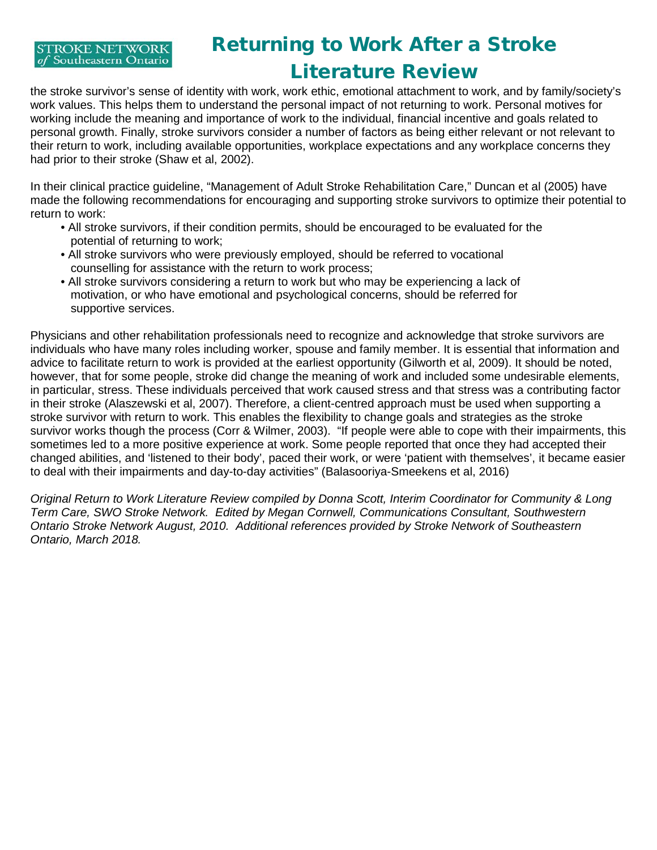## Returning to Work After a Stroke Literature Review

the stroke survivor's sense of identity with work, work ethic, emotional attachment to work, and by family/society's work values. This helps them to understand the personal impact of not returning to work. Personal motives for working include the meaning and importance of work to the individual, financial incentive and goals related to personal growth. Finally, stroke survivors consider a number of factors as being either relevant or not relevant to their return to work, including available opportunities, workplace expectations and any workplace concerns they had prior to their stroke (Shaw et al, 2002).

In their clinical practice guideline, "Management of Adult Stroke Rehabilitation Care," Duncan et al (2005) have made the following recommendations for encouraging and supporting stroke survivors to optimize their potential to return to work:

- All stroke survivors, if their condition permits, should be encouraged to be evaluated for the potential of returning to work;
- All stroke survivors who were previously employed, should be referred to vocational counselling for assistance with the return to work process;
- All stroke survivors considering a return to work but who may be experiencing a lack of motivation, or who have emotional and psychological concerns, should be referred for supportive services.

Physicians and other rehabilitation professionals need to recognize and acknowledge that stroke survivors are individuals who have many roles including worker, spouse and family member. It is essential that information and advice to facilitate return to work is provided at the earliest opportunity (Gilworth et al, 2009). It should be noted, however, that for some people, stroke did change the meaning of work and included some undesirable elements, in particular, stress. These individuals perceived that work caused stress and that stress was a contributing factor in their stroke (Alaszewski et al, 2007). Therefore, a client-centred approach must be used when supporting a stroke survivor with return to work. This enables the flexibility to change goals and strategies as the stroke survivor works though the process (Corr & Wilmer, 2003). "If people were able to cope with their impairments, this sometimes led to a more positive experience at work. Some people reported that once they had accepted their changed abilities, and 'listened to their body', paced their work, or were 'patient with themselves', it became easier to deal with their impairments and day-to-day activities" (Balasooriya-Smeekens et al, 2016)

*Original Return to Work Literature Review compiled by Donna Scott, Interim Coordinator for Community & Long Term Care, SWO Stroke Network. Edited by Megan Cornwell, Communications Consultant, Southwestern Ontario Stroke Network August, 2010. Additional references provided by Stroke Network of Southeastern Ontario, March 2018.*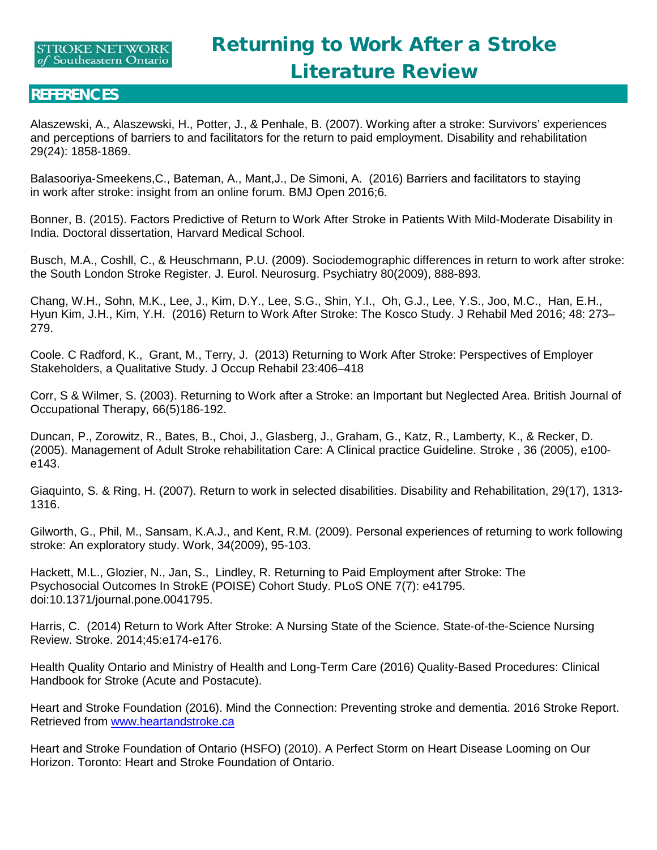#### **REFERENCES**

Alaszewski, A., Alaszewski, H., Potter, J., & Penhale, B. (2007). Working after a stroke: Survivors' experiences and perceptions of barriers to and facilitators for the return to paid employment. Disability and rehabilitation 29(24): 1858-1869.

Balasooriya-Smeekens,C., Bateman, A., Mant,J., De Simoni, A. (2016) Barriers and facilitators to staying in work after stroke: insight from an online forum. BMJ Open 2016;6.

Bonner, B. (2015). Factors Predictive of Return to Work After Stroke in Patients With Mild-Moderate Disability in India. Doctoral dissertation, Harvard Medical School.

Busch, M.A., Coshll, C., & Heuschmann, P.U. (2009). Sociodemographic differences in return to work after stroke: the South London Stroke Register. J. Eurol. Neurosurg. Psychiatry 80(2009), 888-893.

Chang, W.H., Sohn, M.K., Lee, J., Kim, D.Y., Lee, S.G., Shin, Y.I., Oh, G.J., Lee, Y.S., Joo, M.C., Han, E.H., Hyun Kim, J.H., Kim, Y.H. (2016) Return to Work After Stroke: The Kosco Study. J Rehabil Med 2016; 48: 273– 279.

Coole. C Radford, K., Grant, M., Terry, J. (2013) Returning to Work After Stroke: Perspectives of Employer Stakeholders, a Qualitative Study. J Occup Rehabil 23:406–418

Corr, S & Wilmer, S. (2003). Returning to Work after a Stroke: an Important but Neglected Area. British Journal of Occupational Therapy, 66(5)186-192.

Duncan, P., Zorowitz, R., Bates, B., Choi, J., Glasberg, J., Graham, G., Katz, R., Lamberty, K., & Recker, D. (2005). Management of Adult Stroke rehabilitation Care: A Clinical practice Guideline. Stroke , 36 (2005), e100 e143.

Giaquinto, S. & Ring, H. (2007). Return to work in selected disabilities. Disability and Rehabilitation, 29(17), 1313- 1316.

Gilworth, G., Phil, M., Sansam, K.A.J., and Kent, R.M. (2009). Personal experiences of returning to work following stroke: An exploratory study. Work, 34(2009), 95-103.

Hackett, M.L., Glozier, N., Jan, S., Lindley, R. Returning to Paid Employment after Stroke: The Psychosocial Outcomes In StrokE (POISE) Cohort Study. PLoS ONE 7(7): e41795. doi:10.1371/journal.pone.0041795.

Harris, C. (2014) Return to Work After Stroke: A Nursing State of the Science. State-of-the-Science Nursing Review. Stroke. 2014;45:e174-e176.

Health Quality Ontario and Ministry of Health and Long-Term Care (2016) Quality-Based Procedures: Clinical Handbook for Stroke (Acute and Postacute).

Heart and Stroke Foundation (2016). Mind the Connection: Preventing stroke and dementia. 2016 Stroke Report. Retrieved from [www.heartandstroke.ca](http://www.heartandstroke.ca/) 

Heart and Stroke Foundation of Ontario (HSFO) (2010). A Perfect Storm on Heart Disease Looming on Our Horizon. Toronto: Heart and Stroke Foundation of Ontario.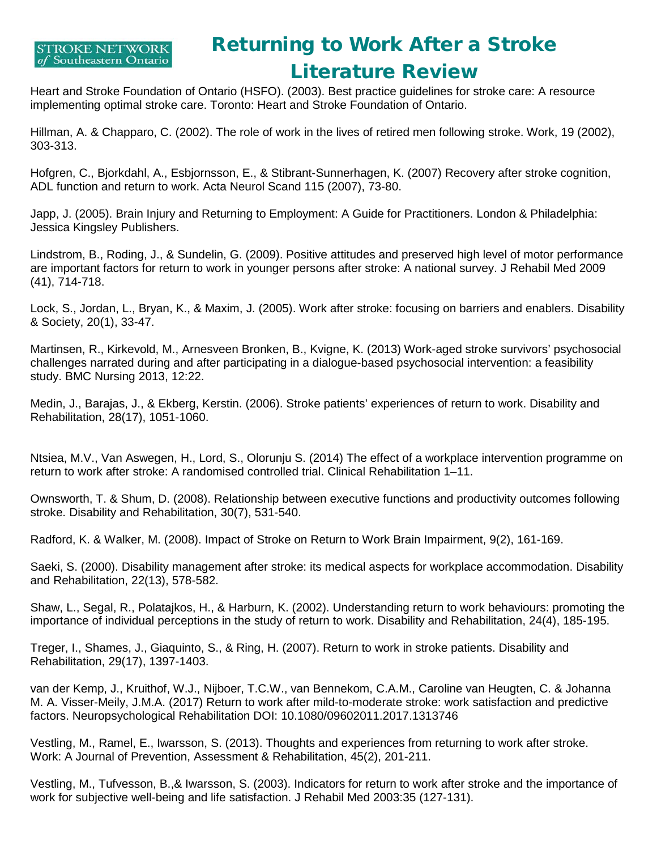

### Returning to Work After a Stroke Literature Review

Heart and Stroke Foundation of Ontario (HSFO). (2003). Best practice guidelines for stroke care: A resource implementing optimal stroke care. Toronto: Heart and Stroke Foundation of Ontario.

Hillman, A. & Chapparo, C. (2002). The role of work in the lives of retired men following stroke. Work, 19 (2002), 303-313.

Hofgren, C., Bjorkdahl, A., Esbjornsson, E., & Stibrant-Sunnerhagen, K. (2007) Recovery after stroke cognition, ADL function and return to work. Acta Neurol Scand 115 (2007), 73-80.

Japp, J. (2005). Brain Injury and Returning to Employment: A Guide for Practitioners. London & Philadelphia: Jessica Kingsley Publishers.

Lindstrom, B., Roding, J., & Sundelin, G. (2009). Positive attitudes and preserved high level of motor performance are important factors for return to work in younger persons after stroke: A national survey. J Rehabil Med 2009 (41), 714-718.

Lock, S., Jordan, L., Bryan, K., & Maxim, J. (2005). Work after stroke: focusing on barriers and enablers. Disability & Society, 20(1), 33-47.

Martinsen, R., Kirkevold, M., Arnesveen Bronken, B., Kvigne, K. (2013) Work-aged stroke survivors' psychosocial challenges narrated during and after participating in a dialogue-based psychosocial intervention: a feasibility study. BMC Nursing 2013, 12:22.

Medin, J., Barajas, J., & Ekberg, Kerstin. (2006). Stroke patients' experiences of return to work. Disability and Rehabilitation, 28(17), 1051-1060.

Ntsiea, M.V., Van Aswegen, H., Lord, S., Olorunju S. (2014) The effect of a workplace intervention programme on return to work after stroke: A randomised controlled trial. Clinical Rehabilitation 1–11.

Ownsworth, T. & Shum, D. (2008). Relationship between executive functions and productivity outcomes following stroke. Disability and Rehabilitation, 30(7), 531-540.

Radford, K. & Walker, M. (2008). Impact of Stroke on Return to Work Brain Impairment, 9(2), 161-169.

Saeki, S. (2000). Disability management after stroke: its medical aspects for workplace accommodation. Disability and Rehabilitation, 22(13), 578-582.

Shaw, L., Segal, R., Polatajkos, H., & Harburn, K. (2002). Understanding return to work behaviours: promoting the importance of individual perceptions in the study of return to work. Disability and Rehabilitation, 24(4), 185-195.

Treger, I., Shames, J., Giaquinto, S., & Ring, H. (2007). Return to work in stroke patients. Disability and Rehabilitation, 29(17), 1397-1403.

van der Kemp, J., Kruithof, W.J., Nijboer, T.C.W., van Bennekom, C.A.M., Caroline van Heugten, C. & Johanna M. A. Visser-Meily, J.M.A. (2017) Return to work after mild-to-moderate stroke: work satisfaction and predictive factors. Neuropsychological Rehabilitation DOI: 10.1080/09602011.2017.1313746

Vestling, M., Ramel, E., Iwarsson, S. (2013). Thoughts and experiences from returning to work after stroke. Work: A Journal of Prevention, Assessment & Rehabilitation, 45(2), 201-211.

Vestling, M., Tufvesson, B.,& Iwarsson, S. (2003). Indicators for return to work after stroke and the importance of work for subjective well-being and life satisfaction. J Rehabil Med 2003:35 (127-131).